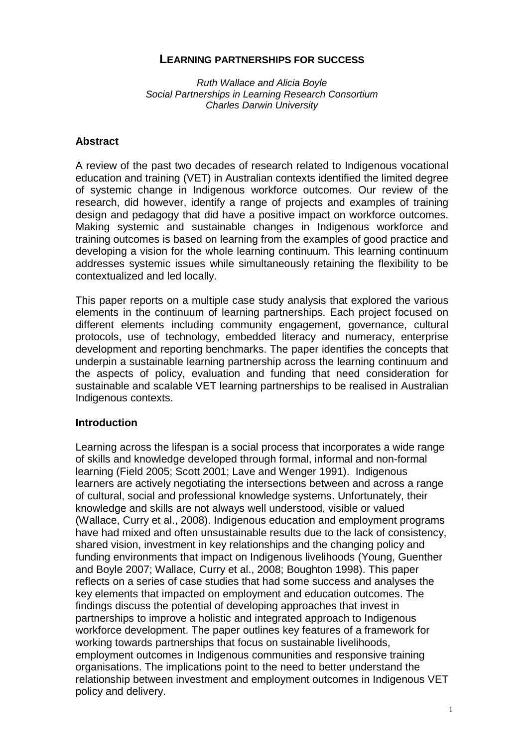## **LEARNING PARTNERSHIPS FOR SUCCESS**

Ruth Wallace and Alicia Boyle Social Partnerships in Learning Research Consortium Charles Darwin University

#### **Abstract**

A review of the past two decades of research related to Indigenous vocational education and training (VET) in Australian contexts identified the limited degree of systemic change in Indigenous workforce outcomes. Our review of the research, did however, identify a range of projects and examples of training design and pedagogy that did have a positive impact on workforce outcomes. Making systemic and sustainable changes in Indigenous workforce and training outcomes is based on learning from the examples of good practice and developing a vision for the whole learning continuum. This learning continuum addresses systemic issues while simultaneously retaining the flexibility to be contextualized and led locally.

This paper reports on a multiple case study analysis that explored the various elements in the continuum of learning partnerships. Each project focused on different elements including community engagement, governance, cultural protocols, use of technology, embedded literacy and numeracy, enterprise development and reporting benchmarks. The paper identifies the concepts that underpin a sustainable learning partnership across the learning continuum and the aspects of policy, evaluation and funding that need consideration for sustainable and scalable VET learning partnerships to be realised in Australian Indigenous contexts.

#### **Introduction**

Learning across the lifespan is a social process that incorporates a wide range of skills and knowledge developed through formal, informal and non-formal learning (Field 2005; Scott 2001; Lave and Wenger 1991). Indigenous learners are actively negotiating the intersections between and across a range of cultural, social and professional knowledge systems. Unfortunately, their knowledge and skills are not always well understood, visible or valued (Wallace, Curry et al., 2008). Indigenous education and employment programs have had mixed and often unsustainable results due to the lack of consistency, shared vision, investment in key relationships and the changing policy and funding environments that impact on Indigenous livelihoods (Young, Guenther and Boyle 2007; Wallace, Curry et al., 2008; Boughton 1998). This paper reflects on a series of case studies that had some success and analyses the key elements that impacted on employment and education outcomes. The findings discuss the potential of developing approaches that invest in partnerships to improve a holistic and integrated approach to Indigenous workforce development. The paper outlines key features of a framework for working towards partnerships that focus on sustainable livelihoods, employment outcomes in Indigenous communities and responsive training organisations. The implications point to the need to better understand the relationship between investment and employment outcomes in Indigenous VET policy and delivery.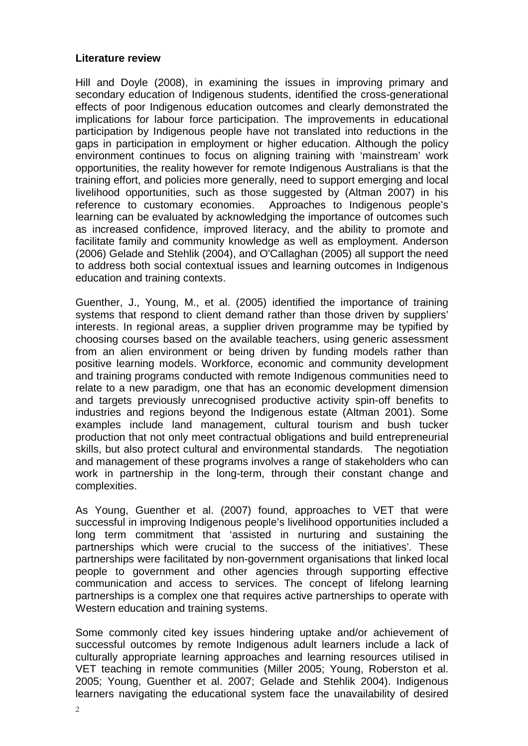#### **Literature review**

Hill and Doyle (2008), in examining the issues in improving primary and secondary education of Indigenous students, identified the cross-generational effects of poor Indigenous education outcomes and clearly demonstrated the implications for labour force participation. The improvements in educational participation by Indigenous people have not translated into reductions in the gaps in participation in employment or higher education. Although the policy environment continues to focus on aligning training with 'mainstream' work opportunities, the reality however for remote Indigenous Australians is that the training effort, and policies more generally, need to support emerging and local livelihood opportunities, such as those suggested by (Altman 2007) in his reference to customary economies. Approaches to Indigenous people's learning can be evaluated by acknowledging the importance of outcomes such as increased confidence, improved literacy, and the ability to promote and facilitate family and community knowledge as well as employment. Anderson (2006) Gelade and Stehlik (2004), and O'Callaghan (2005) all support the need to address both social contextual issues and learning outcomes in Indigenous education and training contexts.

Guenther, J., Young, M., et al. (2005) identified the importance of training systems that respond to client demand rather than those driven by suppliers' interests. In regional areas, a supplier driven programme may be typified by choosing courses based on the available teachers, using generic assessment from an alien environment or being driven by funding models rather than positive learning models. Workforce, economic and community development and training programs conducted with remote Indigenous communities need to relate to a new paradigm, one that has an economic development dimension and targets previously unrecognised productive activity spin-off benefits to industries and regions beyond the Indigenous estate (Altman 2001). Some examples include land management, cultural tourism and bush tucker production that not only meet contractual obligations and build entrepreneurial skills, but also protect cultural and environmental standards. The negotiation and management of these programs involves a range of stakeholders who can work in partnership in the long-term, through their constant change and complexities.

As Young, Guenther et al. (2007) found, approaches to VET that were successful in improving Indigenous people's livelihood opportunities included a long term commitment that 'assisted in nurturing and sustaining the partnerships which were crucial to the success of the initiatives'. These partnerships were facilitated by non-government organisations that linked local people to government and other agencies through supporting effective communication and access to services. The concept of lifelong learning partnerships is a complex one that requires active partnerships to operate with Western education and training systems.

Some commonly cited key issues hindering uptake and/or achievement of successful outcomes by remote Indigenous adult learners include a lack of culturally appropriate learning approaches and learning resources utilised in VET teaching in remote communities (Miller 2005; Young, Roberston et al. 2005; Young, Guenther et al. 2007; Gelade and Stehlik 2004). Indigenous learners navigating the educational system face the unavailability of desired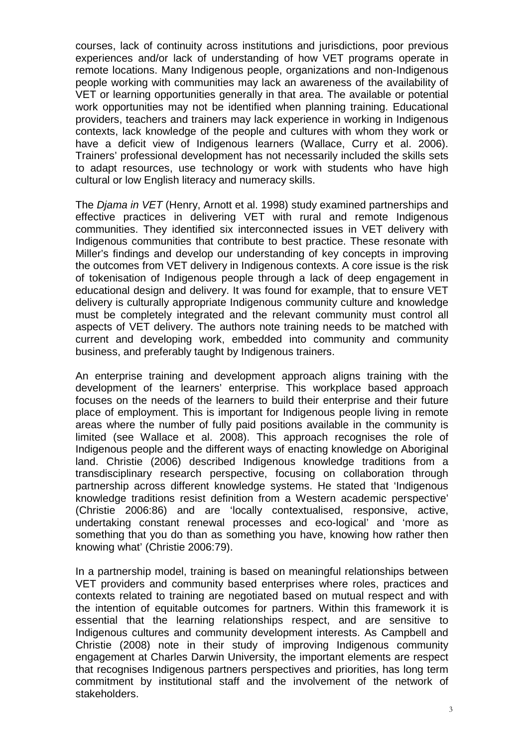courses, lack of continuity across institutions and jurisdictions, poor previous experiences and/or lack of understanding of how VET programs operate in remote locations. Many Indigenous people, organizations and non-Indigenous people working with communities may lack an awareness of the availability of VET or learning opportunities generally in that area. The available or potential work opportunities may not be identified when planning training. Educational providers, teachers and trainers may lack experience in working in Indigenous contexts, lack knowledge of the people and cultures with whom they work or have a deficit view of Indigenous learners (Wallace, Curry et al. 2006). Trainers' professional development has not necessarily included the skills sets to adapt resources, use technology or work with students who have high cultural or low English literacy and numeracy skills.

The Djama in VET (Henry, Arnott et al. 1998) study examined partnerships and effective practices in delivering VET with rural and remote Indigenous communities. They identified six interconnected issues in VET delivery with Indigenous communities that contribute to best practice. These resonate with Miller's findings and develop our understanding of key concepts in improving the outcomes from VET delivery in Indigenous contexts. A core issue is the risk of tokenisation of Indigenous people through a lack of deep engagement in educational design and delivery. It was found for example, that to ensure VET delivery is culturally appropriate Indigenous community culture and knowledge must be completely integrated and the relevant community must control all aspects of VET delivery. The authors note training needs to be matched with current and developing work, embedded into community and community business, and preferably taught by Indigenous trainers.

An enterprise training and development approach aligns training with the development of the learners' enterprise. This workplace based approach focuses on the needs of the learners to build their enterprise and their future place of employment. This is important for Indigenous people living in remote areas where the number of fully paid positions available in the community is limited (see Wallace et al. 2008). This approach recognises the role of Indigenous people and the different ways of enacting knowledge on Aboriginal land. Christie (2006) described Indigenous knowledge traditions from a transdisciplinary research perspective, focusing on collaboration through partnership across different knowledge systems. He stated that 'Indigenous knowledge traditions resist definition from a Western academic perspective' (Christie 2006:86) and are 'locally contextualised, responsive, active, undertaking constant renewal processes and eco-logical' and 'more as something that you do than as something you have, knowing how rather then knowing what' (Christie 2006:79).

In a partnership model, training is based on meaningful relationships between VET providers and community based enterprises where roles, practices and contexts related to training are negotiated based on mutual respect and with the intention of equitable outcomes for partners. Within this framework it is essential that the learning relationships respect, and are sensitive to Indigenous cultures and community development interests. As Campbell and Christie (2008) note in their study of improving Indigenous community engagement at Charles Darwin University, the important elements are respect that recognises Indigenous partners perspectives and priorities, has long term commitment by institutional staff and the involvement of the network of stakeholders.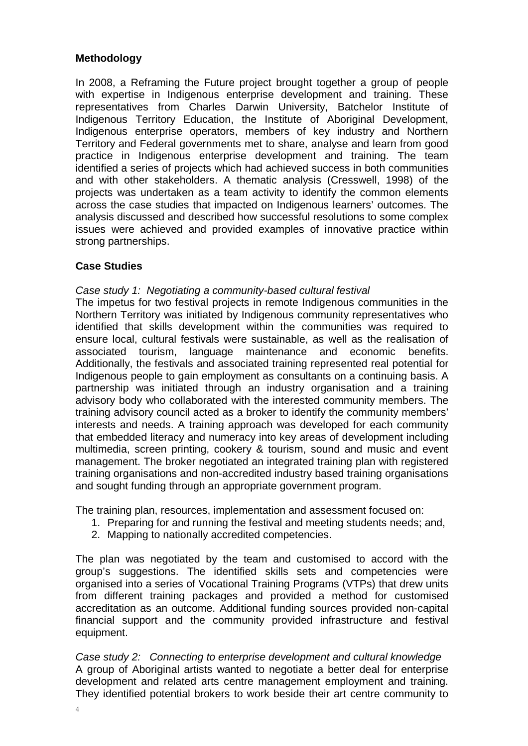# **Methodology**

In 2008, a Reframing the Future project brought together a group of people with expertise in Indigenous enterprise development and training. These representatives from Charles Darwin University, Batchelor Institute of Indigenous Territory Education, the Institute of Aboriginal Development, Indigenous enterprise operators, members of key industry and Northern Territory and Federal governments met to share, analyse and learn from good practice in Indigenous enterprise development and training. The team identified a series of projects which had achieved success in both communities and with other stakeholders. A thematic analysis (Cresswell, 1998) of the projects was undertaken as a team activity to identify the common elements across the case studies that impacted on Indigenous learners' outcomes. The analysis discussed and described how successful resolutions to some complex issues were achieved and provided examples of innovative practice within strong partnerships.

## **Case Studies**

#### Case study 1: Negotiating a community-based cultural festival

The impetus for two festival projects in remote Indigenous communities in the Northern Territory was initiated by Indigenous community representatives who identified that skills development within the communities was required to ensure local, cultural festivals were sustainable, as well as the realisation of associated tourism, language maintenance and economic benefits. Additionally, the festivals and associated training represented real potential for Indigenous people to gain employment as consultants on a continuing basis. A partnership was initiated through an industry organisation and a training advisory body who collaborated with the interested community members. The training advisory council acted as a broker to identify the community members' interests and needs. A training approach was developed for each community that embedded literacy and numeracy into key areas of development including multimedia, screen printing, cookery & tourism, sound and music and event management. The broker negotiated an integrated training plan with registered training organisations and non-accredited industry based training organisations and sought funding through an appropriate government program.

The training plan, resources, implementation and assessment focused on:

- 1. Preparing for and running the festival and meeting students needs; and,
- 2. Mapping to nationally accredited competencies.

The plan was negotiated by the team and customised to accord with the group's suggestions. The identified skills sets and competencies were organised into a series of Vocational Training Programs (VTPs) that drew units from different training packages and provided a method for customised accreditation as an outcome. Additional funding sources provided non-capital financial support and the community provided infrastructure and festival equipment.

Case study 2: Connecting to enterprise development and cultural knowledge A group of Aboriginal artists wanted to negotiate a better deal for enterprise development and related arts centre management employment and training. They identified potential brokers to work beside their art centre community to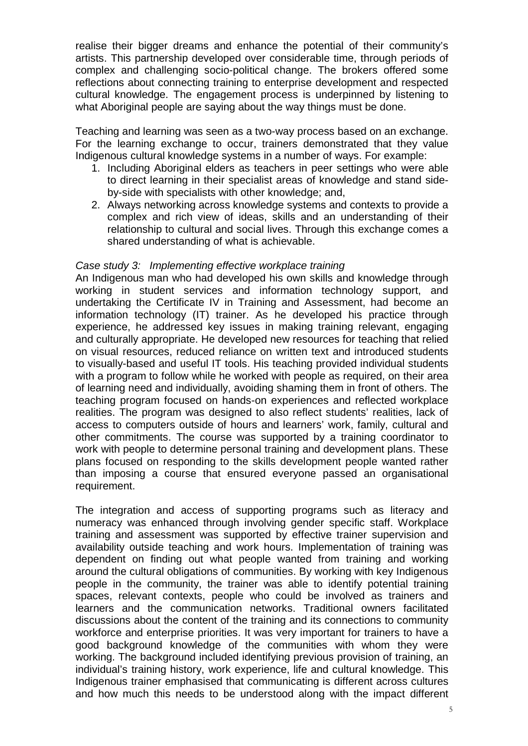realise their bigger dreams and enhance the potential of their community's artists. This partnership developed over considerable time, through periods of complex and challenging socio-political change. The brokers offered some reflections about connecting training to enterprise development and respected cultural knowledge. The engagement process is underpinned by listening to what Aboriginal people are saying about the way things must be done.

Teaching and learning was seen as a two-way process based on an exchange. For the learning exchange to occur, trainers demonstrated that they value Indigenous cultural knowledge systems in a number of ways. For example:

- 1. Including Aboriginal elders as teachers in peer settings who were able to direct learning in their specialist areas of knowledge and stand sideby-side with specialists with other knowledge; and,
- 2. Always networking across knowledge systems and contexts to provide a complex and rich view of ideas, skills and an understanding of their relationship to cultural and social lives. Through this exchange comes a shared understanding of what is achievable.

## Case study 3: Implementing effective workplace training

An Indigenous man who had developed his own skills and knowledge through working in student services and information technology support, and undertaking the Certificate IV in Training and Assessment, had become an information technology (IT) trainer. As he developed his practice through experience, he addressed key issues in making training relevant, engaging and culturally appropriate. He developed new resources for teaching that relied on visual resources, reduced reliance on written text and introduced students to visually-based and useful IT tools. His teaching provided individual students with a program to follow while he worked with people as required, on their area of learning need and individually, avoiding shaming them in front of others. The teaching program focused on hands-on experiences and reflected workplace realities. The program was designed to also reflect students' realities, lack of access to computers outside of hours and learners' work, family, cultural and other commitments. The course was supported by a training coordinator to work with people to determine personal training and development plans. These plans focused on responding to the skills development people wanted rather than imposing a course that ensured everyone passed an organisational requirement.

The integration and access of supporting programs such as literacy and numeracy was enhanced through involving gender specific staff. Workplace training and assessment was supported by effective trainer supervision and availability outside teaching and work hours. Implementation of training was dependent on finding out what people wanted from training and working around the cultural obligations of communities. By working with key Indigenous people in the community, the trainer was able to identify potential training spaces, relevant contexts, people who could be involved as trainers and learners and the communication networks. Traditional owners facilitated discussions about the content of the training and its connections to community workforce and enterprise priorities. It was very important for trainers to have a good background knowledge of the communities with whom they were working. The background included identifying previous provision of training, an individual's training history, work experience, life and cultural knowledge. This Indigenous trainer emphasised that communicating is different across cultures and how much this needs to be understood along with the impact different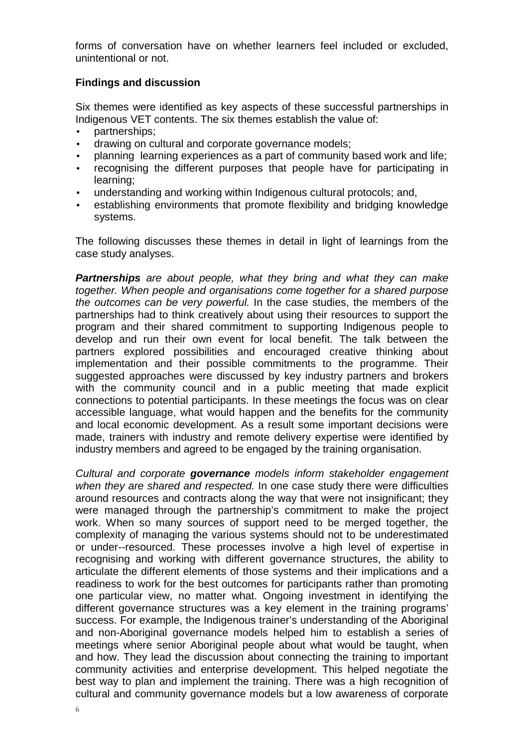forms of conversation have on whether learners feel included or excluded, unintentional or not.

### **Findings and discussion**

Six themes were identified as key aspects of these successful partnerships in Indigenous VET contents. The six themes establish the value of:

- partnerships;
- drawing on cultural and corporate governance models;
- planning learning experiences as a part of community based work and life;
- recognising the different purposes that people have for participating in learning;
- understanding and working within Indigenous cultural protocols; and,
- establishing environments that promote flexibility and bridging knowledge systems.

The following discusses these themes in detail in light of learnings from the case study analyses.

**Partnerships** are about people, what they bring and what they can make together. When people and organisations come together for a shared purpose the outcomes can be very powerful. In the case studies, the members of the partnerships had to think creatively about using their resources to support the program and their shared commitment to supporting Indigenous people to develop and run their own event for local benefit. The talk between the partners explored possibilities and encouraged creative thinking about implementation and their possible commitments to the programme. Their suggested approaches were discussed by key industry partners and brokers with the community council and in a public meeting that made explicit connections to potential participants. In these meetings the focus was on clear accessible language, what would happen and the benefits for the community and local economic development. As a result some important decisions were made, trainers with industry and remote delivery expertise were identified by industry members and agreed to be engaged by the training organisation.

Cultural and corporate **governance** models inform stakeholder engagement when they are shared and respected. In one case study there were difficulties around resources and contracts along the way that were not insignificant; they were managed through the partnership's commitment to make the project work. When so many sources of support need to be merged together, the complexity of managing the various systems should not to be underestimated or under--resourced. These processes involve a high level of expertise in recognising and working with different governance structures, the ability to articulate the different elements of those systems and their implications and a readiness to work for the best outcomes for participants rather than promoting one particular view, no matter what. Ongoing investment in identifying the different governance structures was a key element in the training programs' success. For example, the Indigenous trainer's understanding of the Aboriginal and non-Aboriginal governance models helped him to establish a series of meetings where senior Aboriginal people about what would be taught, when and how. They lead the discussion about connecting the training to important community activities and enterprise development. This helped negotiate the best way to plan and implement the training. There was a high recognition of cultural and community governance models but a low awareness of corporate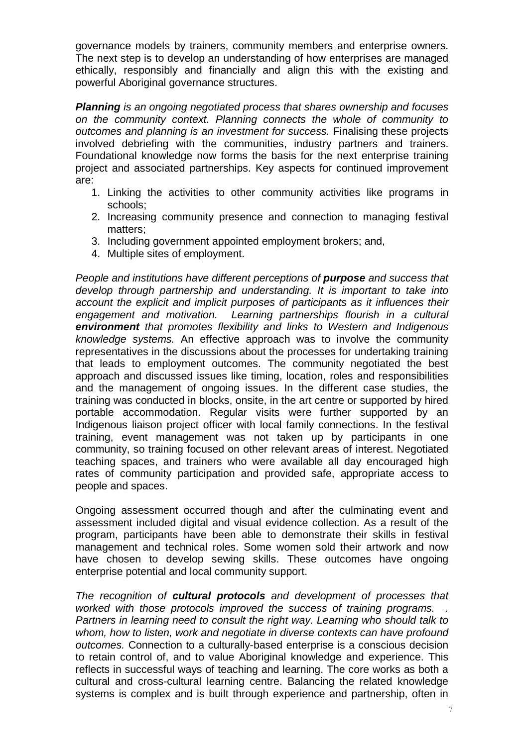governance models by trainers, community members and enterprise owners. The next step is to develop an understanding of how enterprises are managed ethically, responsibly and financially and align this with the existing and powerful Aboriginal governance structures.

**Planning** is an ongoing negotiated process that shares ownership and focuses on the community context. Planning connects the whole of community to outcomes and planning is an investment for success. Finalising these projects involved debriefing with the communities, industry partners and trainers. Foundational knowledge now forms the basis for the next enterprise training project and associated partnerships. Key aspects for continued improvement are:

- 1. Linking the activities to other community activities like programs in schools;
- 2. Increasing community presence and connection to managing festival matters;
- 3. Including government appointed employment brokers; and,
- 4. Multiple sites of employment.

People and institutions have different perceptions of **purpose** and success that develop through partnership and understanding. It is important to take into account the explicit and implicit purposes of participants as it influences their engagement and motivation. Learning partnerships flourish in a cultural **environment** that promotes flexibility and links to Western and Indigenous knowledge systems. An effective approach was to involve the community representatives in the discussions about the processes for undertaking training that leads to employment outcomes. The community negotiated the best approach and discussed issues like timing, location, roles and responsibilities and the management of ongoing issues. In the different case studies, the training was conducted in blocks, onsite, in the art centre or supported by hired portable accommodation. Regular visits were further supported by an Indigenous liaison project officer with local family connections. In the festival training, event management was not taken up by participants in one community, so training focused on other relevant areas of interest. Negotiated teaching spaces, and trainers who were available all day encouraged high rates of community participation and provided safe, appropriate access to people and spaces.

Ongoing assessment occurred though and after the culminating event and assessment included digital and visual evidence collection. As a result of the program, participants have been able to demonstrate their skills in festival management and technical roles. Some women sold their artwork and now have chosen to develop sewing skills. These outcomes have ongoing enterprise potential and local community support.

The recognition of **cultural protocols** and development of processes that worked with those protocols improved the success of training programs. Partners in learning need to consult the right way. Learning who should talk to whom, how to listen, work and negotiate in diverse contexts can have profound outcomes. Connection to a culturally-based enterprise is a conscious decision to retain control of, and to value Aboriginal knowledge and experience. This reflects in successful ways of teaching and learning. The core works as both a cultural and cross-cultural learning centre. Balancing the related knowledge systems is complex and is built through experience and partnership, often in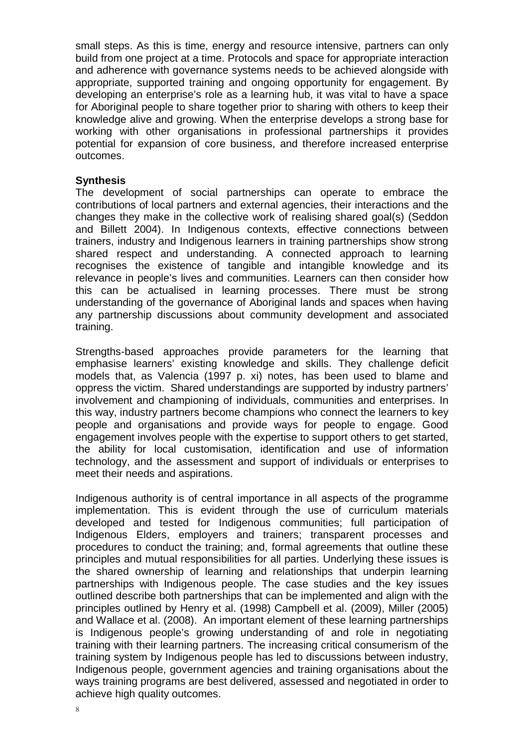small steps. As this is time, energy and resource intensive, partners can only build from one project at a time. Protocols and space for appropriate interaction and adherence with governance systems needs to be achieved alongside with appropriate, supported training and ongoing opportunity for engagement. By developing an enterprise's role as a learning hub, it was vital to have a space for Aboriginal people to share together prior to sharing with others to keep their knowledge alive and growing. When the enterprise develops a strong base for working with other organisations in professional partnerships it provides potential for expansion of core business, and therefore increased enterprise outcomes.

#### **Synthesis**

The development of social partnerships can operate to embrace the contributions of local partners and external agencies, their interactions and the changes they make in the collective work of realising shared goal(s) (Seddon and Billett 2004). In Indigenous contexts, effective connections between trainers, industry and Indigenous learners in training partnerships show strong shared respect and understanding. A connected approach to learning recognises the existence of tangible and intangible knowledge and its relevance in people's lives and communities. Learners can then consider how this can be actualised in learning processes. There must be strong understanding of the governance of Aboriginal lands and spaces when having any partnership discussions about community development and associated training.

Strengths-based approaches provide parameters for the learning that emphasise learners' existing knowledge and skills. They challenge deficit models that, as Valencia (1997 p. xi) notes, has been used to blame and oppress the victim. Shared understandings are supported by industry partners' involvement and championing of individuals, communities and enterprises. In this way, industry partners become champions who connect the learners to key people and organisations and provide ways for people to engage. Good engagement involves people with the expertise to support others to get started, the ability for local customisation, identification and use of information technology, and the assessment and support of individuals or enterprises to meet their needs and aspirations.

Indigenous authority is of central importance in all aspects of the programme implementation. This is evident through the use of curriculum materials developed and tested for Indigenous communities; full participation of Indigenous Elders, employers and trainers; transparent processes and procedures to conduct the training; and, formal agreements that outline these principles and mutual responsibilities for all parties. Underlying these issues is the shared ownership of learning and relationships that underpin learning partnerships with Indigenous people. The case studies and the key issues outlined describe both partnerships that can be implemented and align with the principles outlined by Henry et al. (1998) Campbell et al. (2009), Miller (2005) and Wallace et al. (2008). An important element of these learning partnerships is Indigenous people's growing understanding of and role in negotiating training with their learning partners. The increasing critical consumerism of the training system by Indigenous people has led to discussions between industry, Indigenous people, government agencies and training organisations about the ways training programs are best delivered, assessed and negotiated in order to achieve high quality outcomes.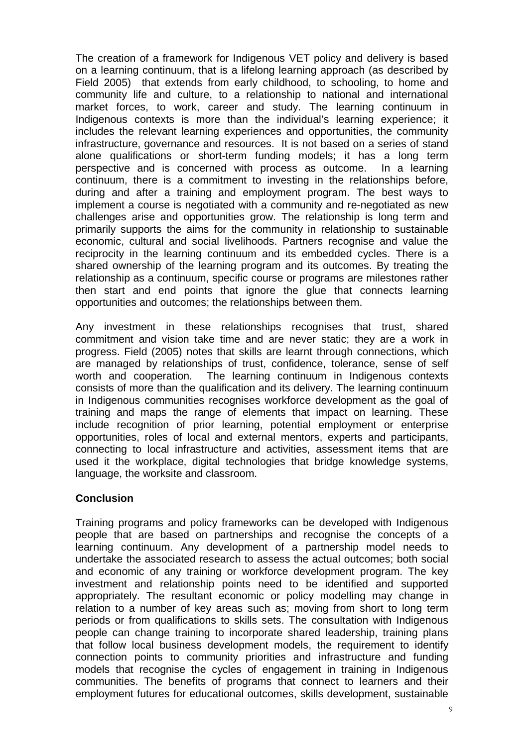The creation of a framework for Indigenous VET policy and delivery is based on a learning continuum, that is a lifelong learning approach (as described by Field 2005) that extends from early childhood, to schooling, to home and community life and culture, to a relationship to national and international market forces, to work, career and study. The learning continuum in Indigenous contexts is more than the individual's learning experience; it includes the relevant learning experiences and opportunities, the community infrastructure, governance and resources. It is not based on a series of stand alone qualifications or short-term funding models; it has a long term perspective and is concerned with process as outcome. In a learning continuum, there is a commitment to investing in the relationships before, during and after a training and employment program. The best ways to implement a course is negotiated with a community and re-negotiated as new challenges arise and opportunities grow. The relationship is long term and primarily supports the aims for the community in relationship to sustainable economic, cultural and social livelihoods. Partners recognise and value the reciprocity in the learning continuum and its embedded cycles. There is a shared ownership of the learning program and its outcomes. By treating the relationship as a continuum, specific course or programs are milestones rather then start and end points that ignore the glue that connects learning opportunities and outcomes; the relationships between them.

Any investment in these relationships recognises that trust, shared commitment and vision take time and are never static; they are a work in progress. Field (2005) notes that skills are learnt through connections, which are managed by relationships of trust, confidence, tolerance, sense of self worth and cooperation. The learning continuum in Indigenous contexts consists of more than the qualification and its delivery. The learning continuum in Indigenous communities recognises workforce development as the goal of training and maps the range of elements that impact on learning. These include recognition of prior learning, potential employment or enterprise opportunities, roles of local and external mentors, experts and participants, connecting to local infrastructure and activities, assessment items that are used it the workplace, digital technologies that bridge knowledge systems, language, the worksite and classroom.

## **Conclusion**

Training programs and policy frameworks can be developed with Indigenous people that are based on partnerships and recognise the concepts of a learning continuum. Any development of a partnership model needs to undertake the associated research to assess the actual outcomes; both social and economic of any training or workforce development program. The key investment and relationship points need to be identified and supported appropriately. The resultant economic or policy modelling may change in relation to a number of key areas such as; moving from short to long term periods or from qualifications to skills sets. The consultation with Indigenous people can change training to incorporate shared leadership, training plans that follow local business development models, the requirement to identify connection points to community priorities and infrastructure and funding models that recognise the cycles of engagement in training in Indigenous communities. The benefits of programs that connect to learners and their employment futures for educational outcomes, skills development, sustainable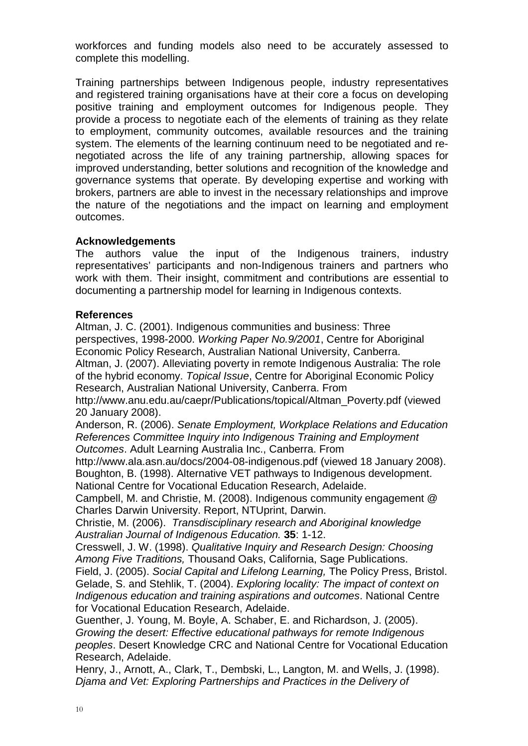workforces and funding models also need to be accurately assessed to complete this modelling.

Training partnerships between Indigenous people, industry representatives and registered training organisations have at their core a focus on developing positive training and employment outcomes for Indigenous people. They provide a process to negotiate each of the elements of training as they relate to employment, community outcomes, available resources and the training system. The elements of the learning continuum need to be negotiated and renegotiated across the life of any training partnership, allowing spaces for improved understanding, better solutions and recognition of the knowledge and governance systems that operate. By developing expertise and working with brokers, partners are able to invest in the necessary relationships and improve the nature of the negotiations and the impact on learning and employment outcomes.

## **Acknowledgements**

The authors value the input of the Indigenous trainers, industry representatives' participants and non-Indigenous trainers and partners who work with them. Their insight, commitment and contributions are essential to documenting a partnership model for learning in Indigenous contexts.

## **References**

Altman, J. C. (2001). Indigenous communities and business: Three perspectives, 1998-2000. Working Paper No.9/2001, Centre for Aboriginal Economic Policy Research, Australian National University, Canberra. Altman, J. (2007). Alleviating poverty in remote Indigenous Australia: The role of the hybrid economy. Topical Issue, Centre for Aboriginal Economic Policy Research, Australian National University, Canberra. From

http://www.anu.edu.au/caepr/Publications/topical/Altman\_Poverty.pdf (viewed 20 January 2008).

Anderson, R. (2006). Senate Employment, Workplace Relations and Education References Committee Inquiry into Indigenous Training and Employment Outcomes. Adult Learning Australia Inc., Canberra. From

http://www.ala.asn.au/docs/2004-08-indigenous.pdf (viewed 18 January 2008). Boughton, B. (1998). Alternative VET pathways to Indigenous development. National Centre for Vocational Education Research, Adelaide.

Campbell, M. and Christie, M. (2008). Indigenous community engagement @ Charles Darwin University. Report, NTUprint, Darwin.

Christie, M. (2006). Transdisciplinary research and Aboriginal knowledge Australian Journal of Indigenous Education. **35**: 1-12.

Cresswell, J. W. (1998). Qualitative Inquiry and Research Design: Choosing Among Five Traditions, Thousand Oaks, California, Sage Publications,

Field, J. (2005). Social Capital and Lifelong Learning, The Policy Press, Bristol. Gelade, S. and Stehlik, T. (2004). Exploring locality: The impact of context on Indigenous education and training aspirations and outcomes. National Centre for Vocational Education Research, Adelaide.

Guenther, J. Young, M. Boyle, A. Schaber, E. and Richardson, J. (2005). Growing the desert: Effective educational pathways for remote Indigenous peoples. Desert Knowledge CRC and National Centre for Vocational Education Research, Adelaide.

Henry, J., Arnott, A., Clark, T., Dembski, L., Langton, M. and Wells, J. (1998). Djama and Vet: Exploring Partnerships and Practices in the Delivery of